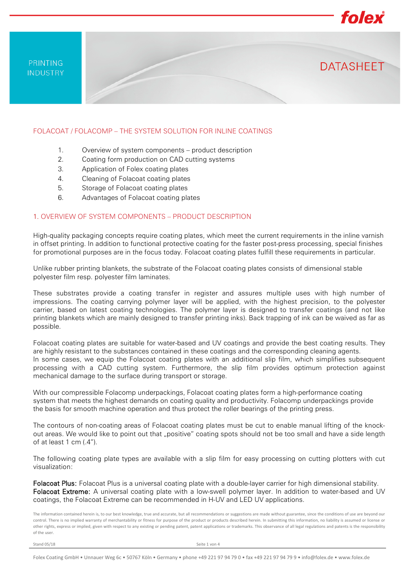PRINTING **INDUSTRY** 

#### FOLACOAT / FOLACOMP – THE SYSTEM SOLUTION FOR INLINE COATINGS

- 1. Overview of system components product description
- 2. Coating form production on CAD cutting systems
- 3. Application of Folex coating plates
- 4. Cleaning of Folacoat coating plates
- 5. Storage of Folacoat coating plates
- 6. Advantages of Folacoat coating plates

### 1. OVERVIEW OF SYSTEM COMPONENTS – PRODUCT DESCRIPTION

High-quality packaging concepts require coating plates, which meet the current requirements in the inline varnish in offset printing. In addition to functional protective coating for the faster post-press processing, special finishes for promotional purposes are in the focus today. Folacoat coating plates fulfill these requirements in particular.

folex

**DATASHFFT** 

Unlike rubber printing blankets, the substrate of the Folacoat coating plates consists of dimensional stable polyester film resp. polyester film laminates.

These substrates provide a coating transfer in register and assures multiple uses with high number of impressions. The coating carrying polymer layer will be applied, with the highest precision, to the polyester carrier, based on latest coating technologies. The polymer layer is designed to transfer coatings (and not like printing blankets which are mainly designed to transfer printing inks). Back trapping of ink can be waived as far as possible.

Folacoat coating plates are suitable for water-based and UV coatings and provide the best coating results. They are highly resistant to the substances contained in these coatings and the corresponding cleaning agents. In some cases, we equip the Folacoat coating plates with an additional slip film, which simplifies subsequent processing with a CAD cutting system. Furthermore, the slip film provides optimum protection against mechanical damage to the surface during transport or storage.

With our compressible Folacomp underpackings, Folacoat coating plates form a high-performance coating system that meets the highest demands on coating quality and productivity. Folacomp underpackings provide the basis for smooth machine operation and thus protect the roller bearings of the printing press.

The contours of non-coating areas of Folacoat coating plates must be cut to enable manual lifting of the knockout areas. We would like to point out that "positive" coating spots should not be too small and have a side length of at least 1 cm (.4").

The following coating plate types are available with a slip film for easy processing on cutting plotters with cut visualization:

Folacoat Plus: Folacoat Plus is a universal coating plate with a double-layer carrier for high dimensional stability. Folacoat Extreme: A universal coating plate with a low-swell polymer layer. In addition to water-based and UV coatings, the Folacoat Extreme can be recommended in H-UV and LED UV applications.

The information contained herein is, to our best knowledge, true and accurate, but all recommendations or suggestions are made without guarantee, since the conditions of use are beyond our control. There is no implied warranty of merchantability or fitness for purpose of the product or products described herein. In submitting this information, no liability is assumed or license or other rights, express or implied, given with respect to any existing or pending patent, patent applications or trademarks. This observance of all legal regulations and patents is the responsibility of the user.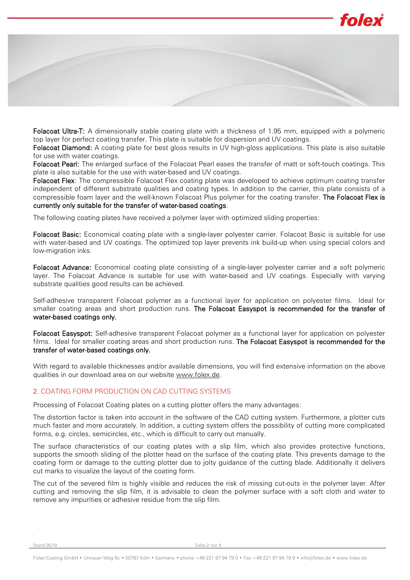

Folacoat Ultra-T: A dimensionally stable coating plate with a thickness of 1.95 mm, equipped with a polymeric top layer for perfect coating transfer. This plate is suitable for dispersion and UV coatings.

Folacoat Diamond: A coating plate for best gloss results in UV high-gloss applications. This plate is also suitable for use with water coatings.

Folacoat Pearl: The enlarged surface of the Folacoat Pearl eases the transfer of matt or soft-touch coatings. This plate is also suitable for the use with water-based and UV coatings.

Folacoat Flex: The compressible Folacoat Flex coating plate was developed to achieve optimum coating transfer independent of different substrate qualities and coating types. In addition to the carrier, this plate consists of a compressible foam layer and the well-known Folacoat Plus polymer for the coating transfer. The Folacoat Flex is currently only suitable for the transfer of water-based coatings.

The following coating plates have received a polymer layer with optimized sliding properties:

Folacoat Basic: Economical coating plate with a single-layer polyester carrier. Folacoat Basic is suitable for use with water-based and UV coatings. The optimized top layer prevents ink build-up when using special colors and low-migration inks.

Folacoat Advance: Economical coating plate consisting of a single-layer polyester carrier and a soft polymeric layer. The Folacoat Advance is suitable for use with water-based and UV coatings. Especially with varying substrate qualities good results can be achieved.

Self-adhesive transparent Folacoat polymer as a functional layer for application on polyester films. Ideal for smaller coating areas and short production runs. The Folacoat Easyspot is recommended for the transfer of water-based coatings only.

Folacoat Easyspot: Self-adhesive transparent Folacoat polymer as a functional layer for application on polyester films. Ideal for smaller coating areas and short production runs. The Folacoat Easyspot is recommended for the transfer of water-based coatings only.

With regard to available thicknesses and/or available dimensions, you will find extensive information on the above qualities in our download area on our website [www.folex.de.](http://www.folex.de/)

### 2. COATING FORM PRODUCTION ON CAD CUTTING SYSTEMS

Processing of Folacoat Coating plates on a cutting plotter offers the many advantages:

The distortion factor is taken into account in the software of the CAD cutting system. Furthermore, a plotter cuts much faster and more accurately. In addition, a cutting system offers the possibility of cutting more complicated forms, e.g. circles, semicircles, etc., which is difficult to carry out manually.

The surface characteristics of our coating plates with a slip film, which also provides protective functions, supports the smooth sliding of the plotter head on the surface of the coating plate. This prevents damage to the coating form or damage to the cutting plotter due to jolty guidance of the cutting blade. Additionally it delivers cut marks to visualize the layout of the coating form.

The cut of the severed film is highly visible and reduces the risk of missing cut-outs in the polymer layer. After cutting and removing the slip film, it is advisable to clean the polymer surface with a soft cloth and water to remove any impurities or adhesive residue from the slip film.

.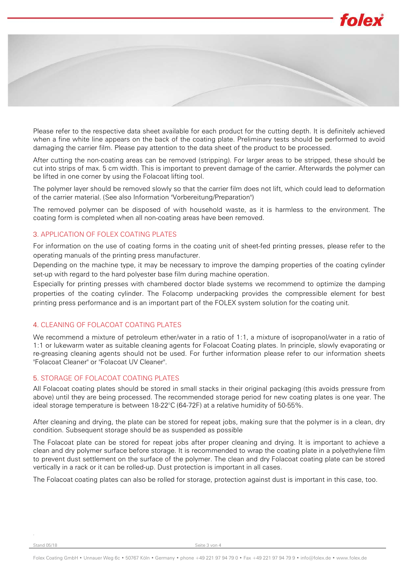

Please refer to the respective data sheet available for each product for the cutting depth. It is definitely achieved when a fine white line appears on the back of the coating plate. Preliminary tests should be performed to avoid damaging the carrier film. Please pay attention to the data sheet of the product to be processed.

After cutting the non-coating areas can be removed (stripping). For larger areas to be stripped, these should be cut into strips of max. 5 cm width. This is important to prevent damage of the carrier. Afterwards the polymer can be lifted in one corner by using the Folacoat lifting tool.

The polymer layer should be removed slowly so that the carrier film does not lift, which could lead to deformation of the carrier material. (See also Information "Vorbereitung/Preparation")

The removed polymer can be disposed of with household waste, as it is harmless to the environment. The coating form is completed when all non-coating areas have been removed.

### 3. APPLICATION OF FOLEX COATING PLATES

For information on the use of coating forms in the coating unit of sheet-fed printing presses, please refer to the operating manuals of the printing press manufacturer.

Depending on the machine type, it may be necessary to improve the damping properties of the coating cylinder set-up with regard to the hard polyester base film during machine operation.

Especially for printing presses with chambered doctor blade systems we recommend to optimize the damping properties of the coating cylinder. The Folacomp underpacking provides the compressible element for best printing press performance and is an important part of the FOLEX system solution for the coating unit.

## 4. CLEANING OF FOLACOAT COATING PLATES

We recommend a mixture of petroleum ether/water in a ratio of 1:1, a mixture of isopropanol/water in a ratio of 1:1 or lukewarm water as suitable cleaning agents for Folacoat Coating plates. In principle, slowly evaporating or re-greasing cleaning agents should not be used. For further information please refer to our information sheets "Folacoat Cleaner" or "Folacoat UV Cleaner".

## 5. STORAGE OF FOLACOAT COATING PLATES

All Folacoat coating plates should be stored in small stacks in their original packaging (this avoids pressure from above) until they are being processed. The recommended storage period for new coating plates is one year. The ideal storage temperature is between 18-22°C (64-72F) at a relative humidity of 50-55%.

After cleaning and drying, the plate can be stored for repeat jobs, making sure that the polymer is in a clean, dry condition. Subsequent storage should be as suspended as possible

The Folacoat plate can be stored for repeat jobs after proper cleaning and drying. It is important to achieve a clean and dry polymer surface before storage. It is recommended to wrap the coating plate in a polyethylene film to prevent dust settlement on the surface of the polymer. The clean and dry Folacoat coating plate can be stored vertically in a rack or it can be rolled-up. Dust protection is important in all cases.

The Folacoat coating plates can also be rolled for storage, protection against dust is important in this case, too.

.